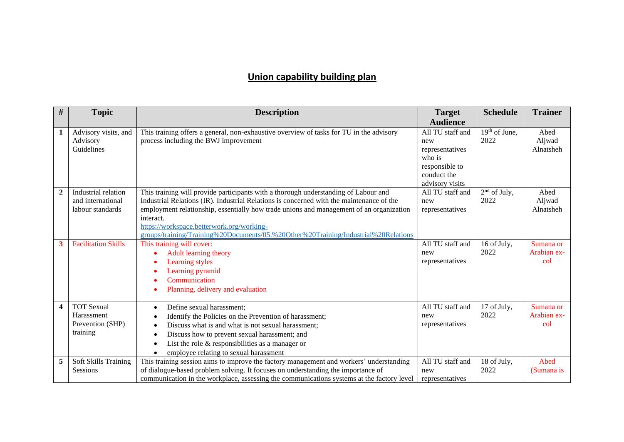## **Union capability building plan**

| $\#$           | <b>Topic</b>                                                    | <b>Description</b>                                                                                                                                                                                                                                                                                                                                                                                                         | <b>Target</b>                                                                                            | <b>Schedule</b>         | <b>Trainer</b>                  |
|----------------|-----------------------------------------------------------------|----------------------------------------------------------------------------------------------------------------------------------------------------------------------------------------------------------------------------------------------------------------------------------------------------------------------------------------------------------------------------------------------------------------------------|----------------------------------------------------------------------------------------------------------|-------------------------|---------------------------------|
|                |                                                                 |                                                                                                                                                                                                                                                                                                                                                                                                                            | <b>Audience</b>                                                                                          |                         |                                 |
| 1              | Advisory visits, and<br>Advisory<br>Guidelines                  | This training offers a general, non-exhaustive overview of tasks for TU in the advisory<br>process including the BWJ improvement                                                                                                                                                                                                                                                                                           | All TU staff and<br>new<br>representatives<br>who is<br>responsible to<br>conduct the<br>advisory visits | $19th$ of June,<br>2022 | Abed<br>Aljwad<br>Alnatsheh     |
| $\overline{2}$ | Industrial relation<br>and international<br>labour standards    | This training will provide participants with a thorough understanding of Labour and<br>Industrial Relations (IR). Industrial Relations is concerned with the maintenance of the<br>employment relationship, essentially how trade unions and management of an organization<br>interact.<br>https://workspace.betterwork.org/working-<br>groups/training/Training%20Documents/05.%20Other%20Training/Industrial%20Relations | All TU staff and<br>new<br>representatives                                                               | $2nd$ of July,<br>2022  | Abed<br>Aljwad<br>Alnatsheh     |
| 3              | <b>Facilitation Skills</b>                                      | This training will cover:<br><b>Adult learning theory</b><br>Learning styles<br>Learning pyramid<br>Communication<br>Planning, delivery and evaluation                                                                                                                                                                                                                                                                     | All TU staff and<br>new<br>representatives                                                               | 16 of July,<br>2022     | Sumana or<br>Arabian ex-<br>col |
| 4              | <b>TOT Sexual</b><br>Harassment<br>Prevention (SHP)<br>training | Define sexual harassment;<br>٠<br>Identify the Policies on the Prevention of harassment;<br>Discuss what is and what is not sexual harassment;<br>Discuss how to prevent sexual harassment; and<br>List the role $&$ responsibilities as a manager or<br>employee relating to sexual harassment                                                                                                                            | All TU staff and<br>new<br>representatives                                                               | 17 of July,<br>2022     | Sumana or<br>Arabian ex-<br>col |
| 5              | Soft Skills Training<br>Sessions                                | This training session aims to improve the factory management and workers' understanding<br>of dialogue-based problem solving. It focuses on understanding the importance of<br>communication in the workplace, assessing the communications systems at the factory level                                                                                                                                                   | All TU staff and<br>new<br>representatives                                                               | 18 of July,<br>2022     | Abed<br>(Sumana is              |